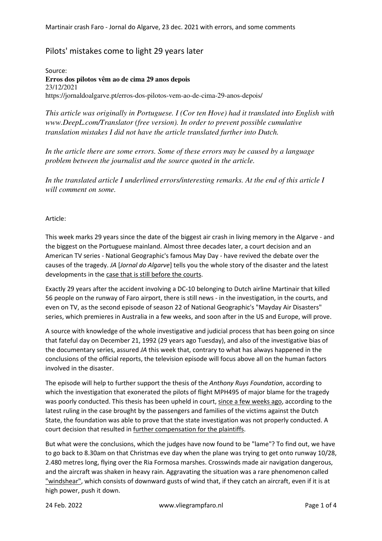# Pilots' mistakes come to light 29 years later

# Source: **Erros dos pilotos vêm ao de cima 29 anos depois**  23/12/2021 https://jornaldoalgarve.pt/erros-dos-pilotos-vem-ao-de-cima-29-anos-depois/

*This article was originally in Portuguese. I (Cor ten Hove) had it translated into English with www.DeepL.com/Translator (free version). In order to prevent possible cumulative translation mistakes I did not have the article translated further into Dutch.* 

*In the article there are some errors. Some of these errors may be caused by a language problem between the journalist and the source quoted in the article.* 

*In the translated article I underlined errors/interesting remarks. At the end of this article I will comment on some.* 

Article:

This week marks 29 years since the date of the biggest air crash in living memory in the Algarve - and the biggest on the Portuguese mainland. Almost three decades later, a court decision and an American TV series - National Geographic's famous May Day - have revived the debate over the causes of the tragedy. *JA* [*Jornal do Algarve*] tells you the whole story of the disaster and the latest developments in the case that is still before the courts.

Exactly 29 years after the accident involving a DC-10 belonging to Dutch airline Martinair that killed 56 people on the runway of Faro airport, there is still news - in the investigation, in the courts, and even on TV, as the second episode of season 22 of National Geographic's "Mayday Air Disasters" series, which premieres in Australia in a few weeks, and soon after in the US and Europe, will prove.

A source with knowledge of the whole investigative and judicial process that has been going on since that fateful day on December 21, 1992 (29 years ago Tuesday), and also of the investigative bias of the documentary series, assured *JA* this week that, contrary to what has always happened in the conclusions of the official reports, the television episode will focus above all on the human factors involved in the disaster.

The episode will help to further support the thesis of the *Anthony Ruys Foundation*, according to which the investigation that exonerated the pilots of flight MPH495 of major blame for the tragedy was poorly conducted. This thesis has been upheld in court, since a few weeks ago, according to the latest ruling in the case brought by the passengers and families of the victims against the Dutch State, the foundation was able to prove that the state investigation was not properly conducted. A court decision that resulted in further compensation for the plaintiffs.

But what were the conclusions, which the judges have now found to be "lame"? To find out, we have to go back to 8.30am on that Christmas eve day when the plane was trying to get onto runway 10/28, 2.480 metres long, flying over the Ria Formosa marshes. Crosswinds made air navigation dangerous, and the aircraft was shaken in heavy rain. Aggravating the situation was a rare phenomenon called "windshear", which consists of downward gusts of wind that, if they catch an aircraft, even if it is at high power, push it down.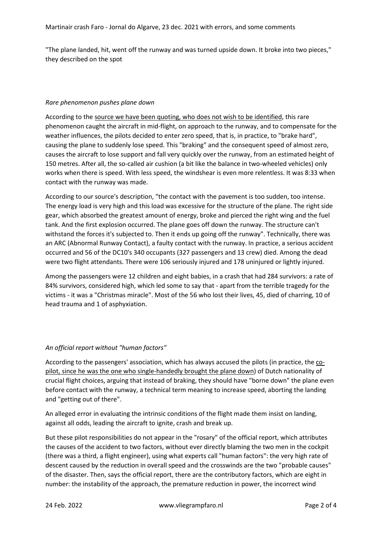"The plane landed, hit, went off the runway and was turned upside down. It broke into two pieces," they described on the spot

## *Rare phenomenon pushes plane down*

According to the source we have been quoting, who does not wish to be identified, this rare phenomenon caught the aircraft in mid-flight, on approach to the runway, and to compensate for the weather influences, the pilots decided to enter zero speed, that is, in practice, to "brake hard", causing the plane to suddenly lose speed. This "braking" and the consequent speed of almost zero, causes the aircraft to lose support and fall very quickly over the runway, from an estimated height of 150 metres. After all, the so-called air cushion (a bit like the balance in two-wheeled vehicles) only works when there is speed. With less speed, the windshear is even more relentless. It was 8:33 when contact with the runway was made.

According to our source's description, "the contact with the pavement is too sudden, too intense. The energy load is very high and this load was excessive for the structure of the plane. The right side gear, which absorbed the greatest amount of energy, broke and pierced the right wing and the fuel tank. And the first explosion occurred. The plane goes off down the runway. The structure can't withstand the forces it's subjected to. Then it ends up going off the runway". Technically, there was an ARC (Abnormal Runway Contact), a faulty contact with the runway. In practice, a serious accident occurred and 56 of the DC10's 340 occupants (327 passengers and 13 crew) died. Among the dead were two flight attendants. There were 106 seriously injured and 178 uninjured or lightly injured.

Among the passengers were 12 children and eight babies, in a crash that had 284 survivors: a rate of 84% survivors, considered high, which led some to say that - apart from the terrible tragedy for the victims - it was a "Christmas miracle". Most of the 56 who lost their lives, 45, died of charring, 10 of head trauma and 1 of asphyxiation.

# *An official report without "human factors"*

According to the passengers' association, which has always accused the pilots (in practice, the copilot, since he was the one who single-handedly brought the plane down) of Dutch nationality of crucial flight choices, arguing that instead of braking, they should have "borne down" the plane even before contact with the runway, a technical term meaning to increase speed, aborting the landing and "getting out of there".

An alleged error in evaluating the intrinsic conditions of the flight made them insist on landing, against all odds, leading the aircraft to ignite, crash and break up.

But these pilot responsibilities do not appear in the "rosary" of the official report, which attributes the causes of the accident to two factors, without ever directly blaming the two men in the cockpit (there was a third, a flight engineer), using what experts call "human factors": the very high rate of descent caused by the reduction in overall speed and the crosswinds are the two "probable causes" of the disaster. Then, says the official report, there are the contributory factors, which are eight in number: the instability of the approach, the premature reduction in power, the incorrect wind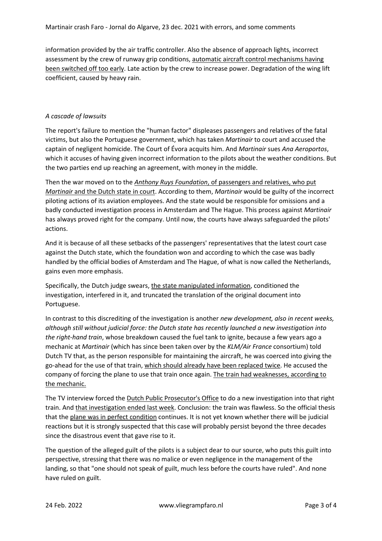information provided by the air traffic controller. Also the absence of approach lights, incorrect assessment by the crew of runway grip conditions, automatic aircraft control mechanisms having been switched off too early. Late action by the crew to increase power. Degradation of the wing lift coefficient, caused by heavy rain.

## *A cascade of lawsuits*

The report's failure to mention the "human factor" displeases passengers and relatives of the fatal victims, but also the Portuguese government, which has taken *Martinair* to court and accused the captain of negligent homicide. The Court of Évora acquits him. And *Martinair* sues *Ana Aeroportos*, which it accuses of having given incorrect information to the pilots about the weather conditions. But the two parties end up reaching an agreement, with money in the middle.

Then the war moved on to the *Anthony Ruys Foundation*, of passengers and relatives, who put *Martinair* and the Dutch state in court. According to them, *Martinair* would be guilty of the incorrect piloting actions of its aviation employees. And the state would be responsible for omissions and a badly conducted investigation process in Amsterdam and The Hague. This process against *Martinair* has always proved right for the company. Until now, the courts have always safeguarded the pilots' actions.

And it is because of all these setbacks of the passengers' representatives that the latest court case against the Dutch state, which the foundation won and according to which the case was badly handled by the official bodies of Amsterdam and The Hague, of what is now called the Netherlands, gains even more emphasis.

Specifically, the Dutch judge swears, the state manipulated information, conditioned the investigation, interfered in it, and truncated the translation of the original document into Portuguese.

In contrast to this discrediting of the investigation is another *new development, also in recent weeks, although still without judicial force: the Dutch state has recently launched a new investigation into the right-hand train*, whose breakdown caused the fuel tank to ignite, because a few years ago a mechanic at *Martinair* (which has since been taken over by the *KLM/Air France* consortium) told Dutch TV that, as the person responsible for maintaining the aircraft, he was coerced into giving the go-ahead for the use of that train, which should already have been replaced twice. He accused the company of forcing the plane to use that train once again. The train had weaknesses, according to the mechanic.

The TV interview forced the Dutch Public Prosecutor's Office to do a new investigation into that right train. And that investigation ended last week. Conclusion: the train was flawless. So the official thesis that the plane was in perfect condition continues. It is not yet known whether there will be judicial reactions but it is strongly suspected that this case will probably persist beyond the three decades since the disastrous event that gave rise to it.

The question of the alleged guilt of the pilots is a subject dear to our source, who puts this guilt into perspective, stressing that there was no malice or even negligence in the management of the landing, so that "one should not speak of guilt, much less before the courts have ruled". And none have ruled on guilt.